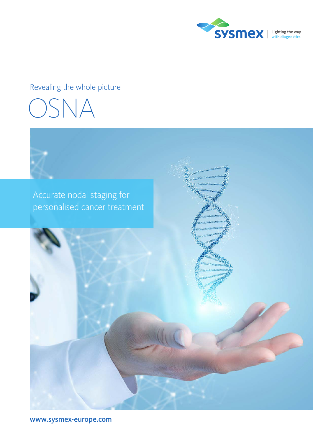

### Revealing the whole picture





www.sysmex-europe.com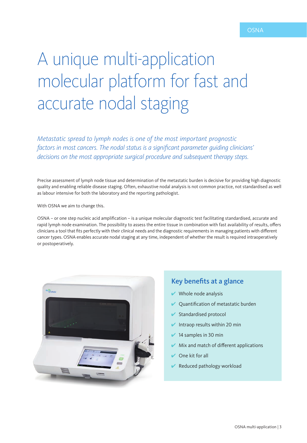# A unique multi-application molecular platform for fast and accurate nodal staging

*Metastatic spread to lymph nodes is one of the most important prognostic factors in most cancers. The nodal status is a significant parameter guiding clinicians' decisions on the most appropriate surgical procedure and subsequent therapy steps.*

Precise assessment of lymph node tissue and determination of the metastatic burden is decisive for providing high diagnostic quality and enabling reliable disease staging. Often, exhaustive nodal analysis is not common practice, not standardised as well as labour intensive for both the laboratory and the reporting pathologist.

With OSNA we aim to change this.

OSNA – or one step nucleic acid amplification – is a unique molecular diagnostic test facilitating standardised, accurate and rapid lymph node examination. The possibility to assess the entire tissue in combination with fast availability of results, offers clinicians a tool that fits perfectly with their clinical needs and the diagnostic requirements in managing patients with different cancer types. OSNA enables accurate nodal staging at any time, independent of whether the result is required intraoperatively or postoperatively.



### Key benefits at a glance

- $\vee$  Whole node analysis
- $\vee$  Quantification of metastatic burden
- $\triangleright$  Standardised protocol
- $\blacktriangleright$  Intraop results within 20 min
- $\overline{\smash{\big)}\phantom{\big|}}$  14 samples in 30 min
- $\vee$  Mix and match of different applications
- One kit for all
- Reduced pathology workload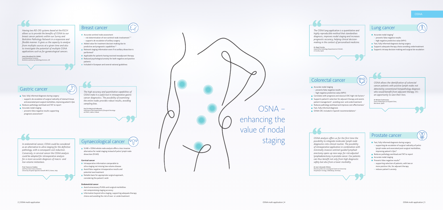OSNA – enhancing the value of nodal staging

• supports de-escalation of axillary surgery Added value for treatment decision-making due to

predictive and prognostic capabilities<sup>1-3</sup>

### OSNA



Breast cancer

performed 3

- Reduces pathology workload and TAT to report
- 
- Accurate nodal staging prevents false negative results supporting prognosis assessment 4

 $SINB + OSNA$  whole node analysis offers a less invasive alternative for nodal staging instead of pelvic lymph node dissection (PLND)

 $\gamma$ 

patients

Accurate sentinel node assessment<br>• risk determination of non-sentinel node involvement<sup>1,2</sup>

Relevant staging information even if no axillary dissection is

**Applicable for patients having received neoadjuvant therapy** Reduced psychological anxiety for both negative and positive

**Included in European and several national guidelines** 

## Gastric cancer

- **Intraoperative information comparable to** ultra-staging not missing low-volume disease
- **Avoid false negative intraoperative results and** potential overtreatment
- Reliable basis for appropriate surgical approach, considering the patient's wish

and associated post-surgical morbidities, improving patient's QoL

- **Avoid unnecessary PLNDs and surgical morbidities** not compromising staging accuracy
- **Information beyond ultra-staging, supporting adequate therapy** choice and avoiding the risk of over- or undertreatment

# Gynaecological cancer

#### **Cervical cancer**

- 
- Fast, fully informed diagnosis during surgery<br>• supporting de-escalation of surgical radicality of pelvic lymph nodes and associated post-surgical morbidities, improving patient's QoL 8
- Reduces pathology workload and TAT to report
- **Accurate nodal staging**
- Prevents false negative results<sup>8</sup>
- supporting selection of patients, with two or more positive LNs, for adjuvant therapy
- reduces patient's anxiety

#### **Endometrial cancer**

### Lung cancer

- **Accurate nodal staging**<sup>5</sup>
- prevents false negative results high negative predictive value (NPV)
- 
- **Fast, fully informed diagnosis during surgery**
- **Supports adequate therapy choice avoiding undertreatment Supports intraop decision-making and surgical de-escalation**

# Colorectal cancer

- **Accurate nodal staging**
- prevents false negative results
- high negative predictive value (NPV)
- **Correlates with prognosis and classical CRC high-risk factors**<sup>6</sup>
- $\blacksquare$  Supports patient's selection for adjuvant therapy and assists patient management 6 , avoiding over- and undertreatment
- Reduces pathology workload and improves cost-effectiveness<sup>7</sup>
- Fast, fully informed diagnosis
- **OSNA CRC included in Spanish recommendations**<sup>6</sup>

### Prostate cancer

*Having two RD-210 systems based at the RSCH allows us to provide the benefits of OSNA to our breast cancer patients within our Surrey and Berkshire Pathology Network in a responsive and flexible manner. It gives us the capacity to analyse from multiple sources at a given time and also to investigate the potential of multiple OSNA applications such as for gynaecological cancers.*

*James Woodland CSci FIBMS,* 

*Lead Biomedical Scientist, Berkshire and Surrey Pathology Services, UK*

■ Fast, fully informed diagnosis during surgery<br>• supports de-escalation of surgical radicality of stomach tissue

*The OSNA lung application is a quantitative and* 

*highly reproducible method that standardises diagnosis, improves nodal staging and increases prognostic accuracy, helping clinical decisionmaking in the context of personalised medicine.*

*Dr Ángel Concha, Head of the Pathology Department at CHUAC, A Coruña, Spain*

#### *In endometrial cancer, OSNA could be considered as an alternative to ultra-staging for the definitive pathology, with a consequent cost reduction. Conversely, in cervical cancer the OSNA analysis could be adopted for intraoperative analysis for a more accurate diagnosis of macro- and low-volume metastasis.*

*Prof. Francesco Fanfani, and Prof. Gian Franco Zannoni, University Hospital Agostino Gemelli IRCCS, Rome, Italy*

*OSNA analysis offers us for the first time the possibility to integrate molecular lymph node diagnostics into clinical routine. The possibility of intraoperative application in combination with minimally invasive sentinel-guided lymphad enectomy opens up new ways for risk-adjusted lymphadenectomy in prostate cancer. Our patients can thus benefit not only from high diagnostic safety but also from a lower morbidity.*

*Dr med. Alexander Winter, Director of the Uro-oncological Centre at University Hospital for Urology, Oldenburg, Germany*

*The high accuracy and quantitative capabilities of OSNA make it a useful tool in intraoperative gastric cancer diagnostics. The possibility of examining the entire nodes provides robust results, avoiding sampling bias.*

*Prof. Dr Wojciech Polkowski, Chairman of the Department of Surgical Oncology at SPSK1, Lublin, Poland* *OSNA allows the identification of colorectal cancer patients with positive lymph nodes not detected by conventional histopathology diagnosis who would benefit from adjuvant therapy. It's an opportunity to save their lives.*

*Dr Miriam Cuatrecasas, Senior Pathologist at Hospital Clinic, Barcelona, Spain*

Jay<br>Jay